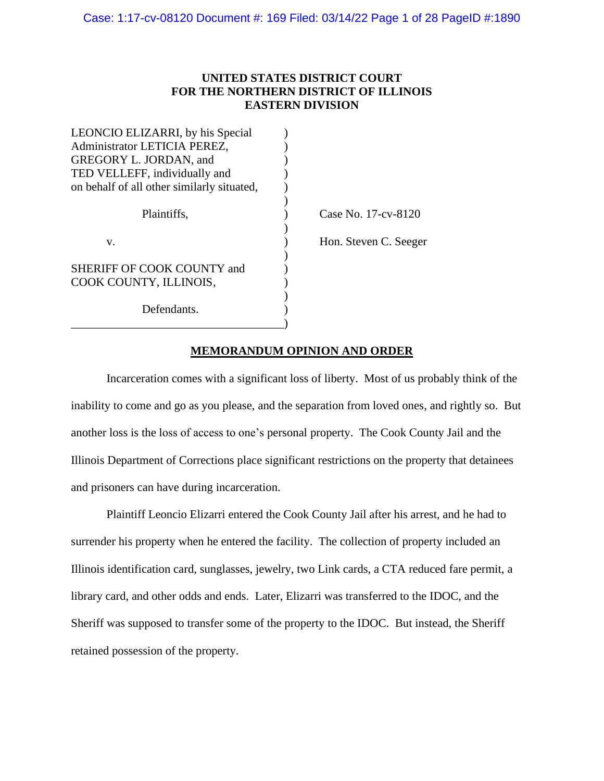# **UNITED STATES DISTRICT COURT FOR THE NORTHERN DISTRICT OF ILLINOIS EASTERN DIVISION**

| LEONCIO ELIZARRI, by his Special           |                       |
|--------------------------------------------|-----------------------|
| Administrator LETICIA PEREZ,               |                       |
| <b>GREGORY L. JORDAN, and</b>              |                       |
| TED VELLEFF, individually and              |                       |
| on behalf of all other similarly situated, |                       |
|                                            |                       |
| Plaintiffs,                                | Case No. 17-cv-8120   |
|                                            |                       |
| v.                                         | Hon. Steven C. Seeger |
|                                            |                       |
| SHERIFF OF COOK COUNTY and                 |                       |
| COOK COUNTY, ILLINOIS,                     |                       |
|                                            |                       |
| Defendants.                                |                       |
|                                            |                       |

 $\mathbf{L}$ oncaro elizarri, by his  $\mathbf{L}$ 

# **MEMORANDUM OPINION AND ORDER**

Incarceration comes with a significant loss of liberty. Most of us probably think of the inability to come and go as you please, and the separation from loved ones, and rightly so. But another loss is the loss of access to one's personal property. The Cook County Jail and the Illinois Department of Corrections place significant restrictions on the property that detainees and prisoners can have during incarceration.

Plaintiff Leoncio Elizarri entered the Cook County Jail after his arrest, and he had to surrender his property when he entered the facility. The collection of property included an Illinois identification card, sunglasses, jewelry, two Link cards, a CTA reduced fare permit, a library card, and other odds and ends. Later, Elizarri was transferred to the IDOC, and the Sheriff was supposed to transfer some of the property to the IDOC. But instead, the Sheriff retained possession of the property.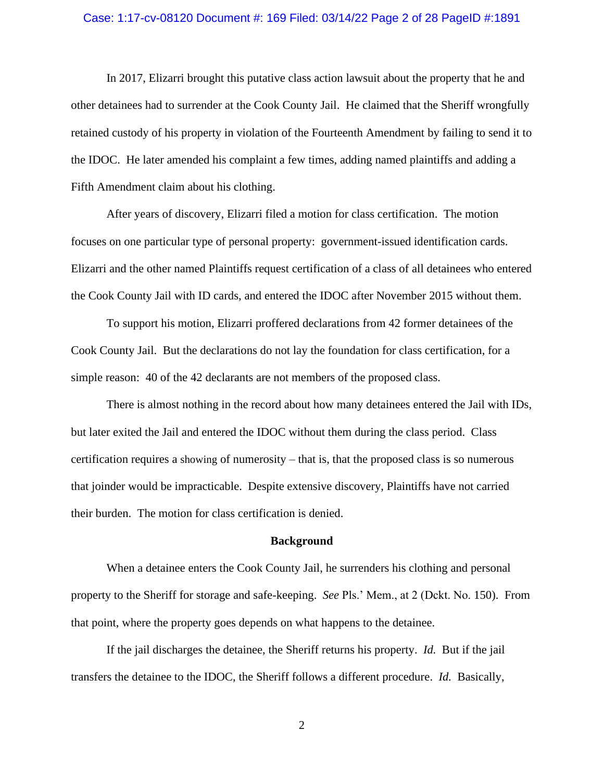#### Case: 1:17-cv-08120 Document #: 169 Filed: 03/14/22 Page 2 of 28 PageID #:1891

In 2017, Elizarri brought this putative class action lawsuit about the property that he and other detainees had to surrender at the Cook County Jail. He claimed that the Sheriff wrongfully retained custody of his property in violation of the Fourteenth Amendment by failing to send it to the IDOC. He later amended his complaint a few times, adding named plaintiffs and adding a Fifth Amendment claim about his clothing.

After years of discovery, Elizarri filed a motion for class certification. The motion focuses on one particular type of personal property: government-issued identification cards. Elizarri and the other named Plaintiffs request certification of a class of all detainees who entered the Cook County Jail with ID cards, and entered the IDOC after November 2015 without them.

To support his motion, Elizarri proffered declarations from 42 former detainees of the Cook County Jail. But the declarations do not lay the foundation for class certification, for a simple reason: 40 of the 42 declarants are not members of the proposed class.

There is almost nothing in the record about how many detainees entered the Jail with IDs, but later exited the Jail and entered the IDOC without them during the class period. Class certification requires a showing of numerosity – that is, that the proposed class is so numerous that joinder would be impracticable. Despite extensive discovery, Plaintiffs have not carried their burden. The motion for class certification is denied.

#### **Background**

When a detainee enters the Cook County Jail, he surrenders his clothing and personal property to the Sheriff for storage and safe-keeping. *See* Pls.' Mem., at 2 (Dckt. No. 150). From that point, where the property goes depends on what happens to the detainee.

If the jail discharges the detainee, the Sheriff returns his property. *Id.* But if the jail transfers the detainee to the IDOC, the Sheriff follows a different procedure. *Id.* Basically,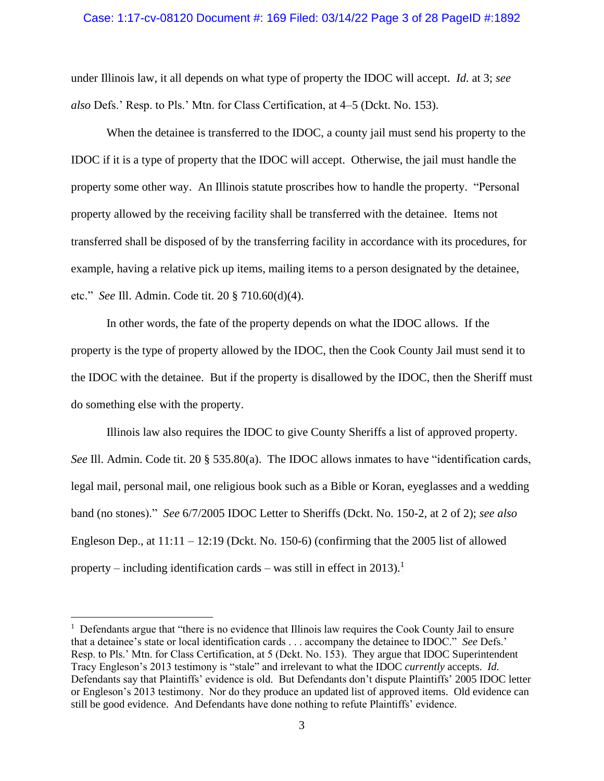#### Case: 1:17-cv-08120 Document #: 169 Filed: 03/14/22 Page 3 of 28 PageID #:1892

under Illinois law, it all depends on what type of property the IDOC will accept. *Id.* at 3; *see also* Defs.' Resp. to Pls.' Mtn. for Class Certification, at 4–5 (Dckt. No. 153).

When the detainee is transferred to the IDOC, a county jail must send his property to the IDOC if it is a type of property that the IDOC will accept. Otherwise, the jail must handle the property some other way. An Illinois statute proscribes how to handle the property. "Personal property allowed by the receiving facility shall be transferred with the detainee. Items not transferred shall be disposed of by the transferring facility in accordance with its procedures, for example, having a relative pick up items, mailing items to a person designated by the detainee, etc." *See* Ill. Admin. Code tit. 20 § 710.60(d)(4).

In other words, the fate of the property depends on what the IDOC allows. If the property is the type of property allowed by the IDOC, then the Cook County Jail must send it to the IDOC with the detainee. But if the property is disallowed by the IDOC, then the Sheriff must do something else with the property.

Illinois law also requires the IDOC to give County Sheriffs a list of approved property. *See* Ill. Admin. Code tit. 20 § 535.80(a). The IDOC allows inmates to have "identification cards, legal mail, personal mail, one religious book such as a Bible or Koran, eyeglasses and a wedding band (no stones)." *See* 6/7/2005 IDOC Letter to Sheriffs (Dckt. No. 150-2, at 2 of 2); *see also*  Engleson Dep., at  $11:11 - 12:19$  (Dckt. No. 150-6) (confirming that the 2005 list of allowed property – including identification cards – was still in effect in 2013).<sup>1</sup>

<sup>&</sup>lt;sup>1</sup> Defendants argue that "there is no evidence that Illinois law requires the Cook County Jail to ensure that a detainee's state or local identification cards . . . accompany the detainee to IDOC." *See* Defs.' Resp. to Pls.' Mtn. for Class Certification, at 5 (Dckt. No. 153). They argue that IDOC Superintendent Tracy Engleson's 2013 testimony is "stale" and irrelevant to what the IDOC *currently* accepts. *Id.* Defendants say that Plaintiffs' evidence is old. But Defendants don't dispute Plaintiffs' 2005 IDOC letter or Engleson's 2013 testimony. Nor do they produce an updated list of approved items. Old evidence can still be good evidence. And Defendants have done nothing to refute Plaintiffs' evidence.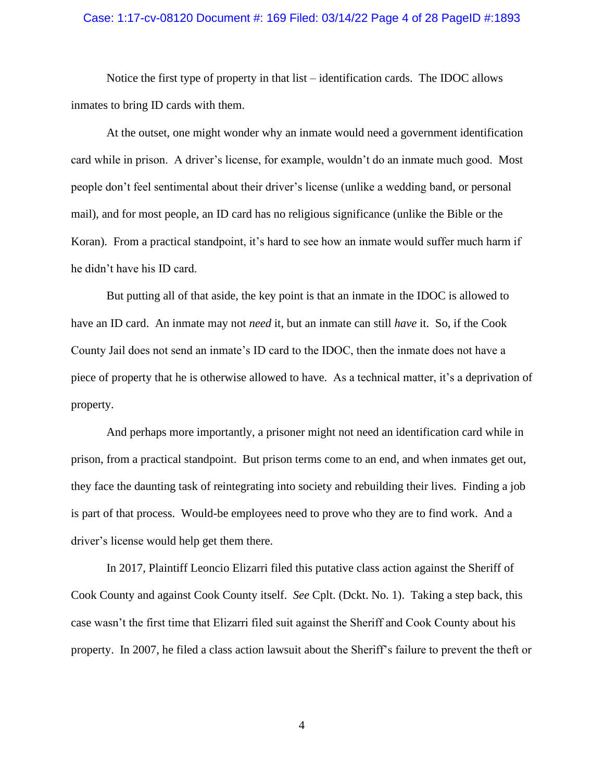#### Case: 1:17-cv-08120 Document #: 169 Filed: 03/14/22 Page 4 of 28 PageID #:1893

Notice the first type of property in that list – identification cards. The IDOC allows inmates to bring ID cards with them.

At the outset, one might wonder why an inmate would need a government identification card while in prison. A driver's license, for example, wouldn't do an inmate much good. Most people don't feel sentimental about their driver's license (unlike a wedding band, or personal mail), and for most people, an ID card has no religious significance (unlike the Bible or the Koran). From a practical standpoint, it's hard to see how an inmate would suffer much harm if he didn't have his ID card.

But putting all of that aside, the key point is that an inmate in the IDOC is allowed to have an ID card. An inmate may not *need* it, but an inmate can still *have* it. So, if the Cook County Jail does not send an inmate's ID card to the IDOC, then the inmate does not have a piece of property that he is otherwise allowed to have. As a technical matter, it's a deprivation of property.

And perhaps more importantly, a prisoner might not need an identification card while in prison, from a practical standpoint. But prison terms come to an end, and when inmates get out, they face the daunting task of reintegrating into society and rebuilding their lives. Finding a job is part of that process. Would-be employees need to prove who they are to find work. And a driver's license would help get them there.

In 2017, Plaintiff Leoncio Elizarri filed this putative class action against the Sheriff of Cook County and against Cook County itself. *See* Cplt. (Dckt. No. 1). Taking a step back, this case wasn't the first time that Elizarri filed suit against the Sheriff and Cook County about his property. In 2007, he filed a class action lawsuit about the Sheriff's failure to prevent the theft or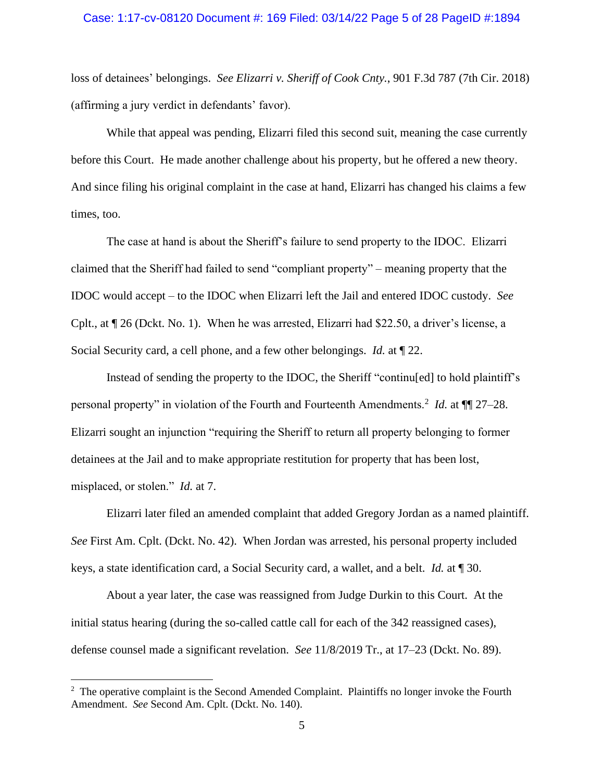#### Case: 1:17-cv-08120 Document #: 169 Filed: 03/14/22 Page 5 of 28 PageID #:1894

loss of detainees' belongings. *See Elizarri v. Sheriff of Cook Cnty.*, 901 F.3d 787 (7th Cir. 2018) (affirming a jury verdict in defendants' favor).

While that appeal was pending, Elizarri filed this second suit, meaning the case currently before this Court. He made another challenge about his property, but he offered a new theory. And since filing his original complaint in the case at hand, Elizarri has changed his claims a few times, too.

The case at hand is about the Sheriff's failure to send property to the IDOC. Elizarri claimed that the Sheriff had failed to send "compliant property" – meaning property that the IDOC would accept – to the IDOC when Elizarri left the Jail and entered IDOC custody. *See* Cplt., at ¶ 26 (Dckt. No. 1). When he was arrested, Elizarri had \$22.50, a driver's license, a Social Security card, a cell phone, and a few other belongings. *Id.* at ¶ 22.

Instead of sending the property to the IDOC, the Sheriff "continu[ed] to hold plaintiff's personal property" in violation of the Fourth and Fourteenth Amendments.<sup>2</sup> *Id.* at  $\P$  27–28. Elizarri sought an injunction "requiring the Sheriff to return all property belonging to former detainees at the Jail and to make appropriate restitution for property that has been lost, misplaced, or stolen." *Id.* at 7.

Elizarri later filed an amended complaint that added Gregory Jordan as a named plaintiff. *See* First Am. Cplt. (Dckt. No. 42). When Jordan was arrested, his personal property included keys, a state identification card, a Social Security card, a wallet, and a belt. *Id.* at ¶ 30.

About a year later, the case was reassigned from Judge Durkin to this Court. At the initial status hearing (during the so-called cattle call for each of the 342 reassigned cases), defense counsel made a significant revelation. *See* 11/8/2019 Tr., at 17–23 (Dckt. No. 89).

 $2$  The operative complaint is the Second Amended Complaint. Plaintiffs no longer invoke the Fourth Amendment. *See* Second Am. Cplt. (Dckt. No. 140).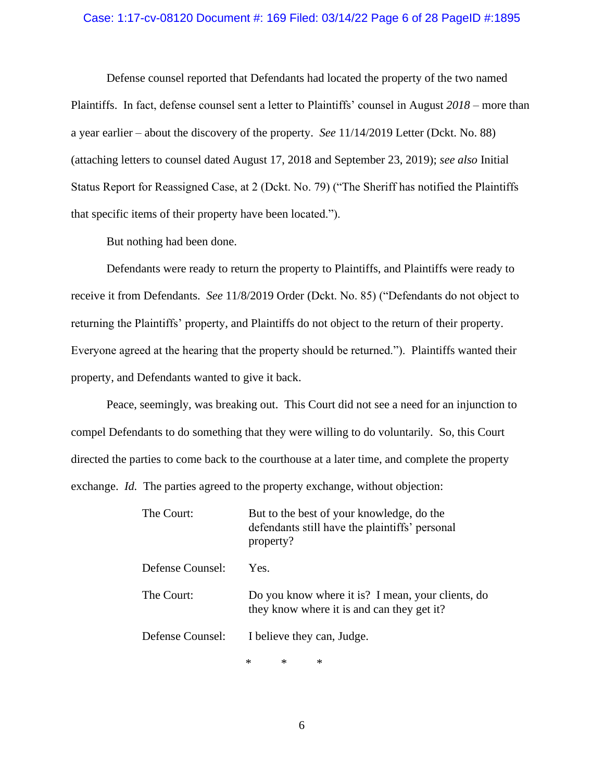#### Case: 1:17-cv-08120 Document #: 169 Filed: 03/14/22 Page 6 of 28 PageID #:1895

Defense counsel reported that Defendants had located the property of the two named Plaintiffs. In fact, defense counsel sent a letter to Plaintiffs' counsel in August *2018* – more than a year earlier – about the discovery of the property. *See* 11/14/2019 Letter (Dckt. No. 88) (attaching letters to counsel dated August 17, 2018 and September 23, 2019); *see also* Initial Status Report for Reassigned Case, at 2 (Dckt. No. 79) ("The Sheriff has notified the Plaintiffs that specific items of their property have been located.").

But nothing had been done.

Defendants were ready to return the property to Plaintiffs, and Plaintiffs were ready to receive it from Defendants. *See* 11/8/2019 Order (Dckt. No. 85) ("Defendants do not object to returning the Plaintiffs' property, and Plaintiffs do not object to the return of their property. Everyone agreed at the hearing that the property should be returned."). Plaintiffs wanted their property, and Defendants wanted to give it back.

Peace, seemingly, was breaking out. This Court did not see a need for an injunction to compel Defendants to do something that they were willing to do voluntarily. So, this Court directed the parties to come back to the courthouse at a later time, and complete the property exchange. *Id.* The parties agreed to the property exchange, without objection:

| The Court:       | But to the best of your knowledge, do the<br>defendants still have the plaintiffs' personal<br>property? |
|------------------|----------------------------------------------------------------------------------------------------------|
| Defense Counsel: | Yes.                                                                                                     |
| The Court:       | Do you know where it is? I mean, your clients, do<br>they know where it is and can they get it?          |
| Defense Counsel: | I believe they can, Judge.                                                                               |

\* \* \*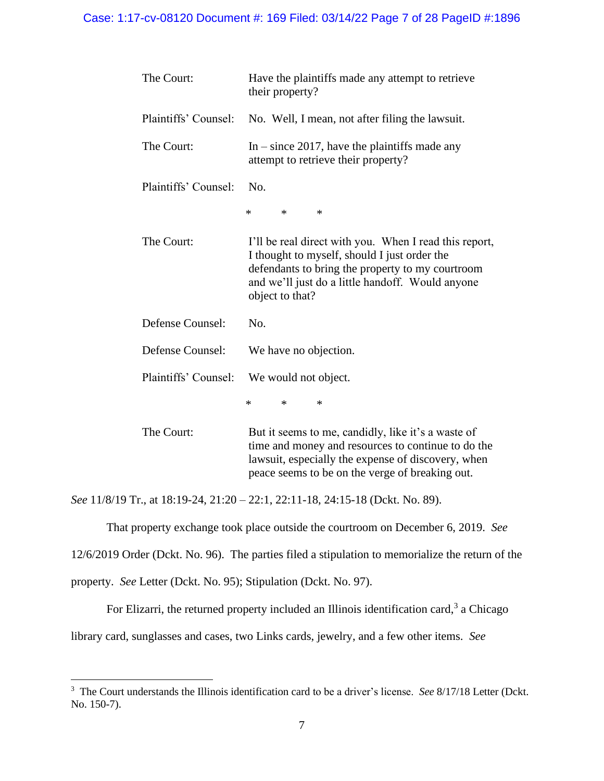### Case: 1:17-cv-08120 Document #: 169 Filed: 03/14/22 Page 7 of 28 PageID #:1896

| The Court:           | Have the plaintiffs made any attempt to retrieve<br>their property?                                                                                                                                                               |
|----------------------|-----------------------------------------------------------------------------------------------------------------------------------------------------------------------------------------------------------------------------------|
| Plaintiffs' Counsel: | No. Well, I mean, not after filing the lawsuit.                                                                                                                                                                                   |
| The Court:           | In $-$ since 2017, have the plaintiffs made any<br>attempt to retrieve their property?                                                                                                                                            |
| Plaintiffs' Counsel: | N <sub>0</sub>                                                                                                                                                                                                                    |
|                      | $\ast$<br>$*$<br>$\ast$                                                                                                                                                                                                           |
| The Court:           | I'll be real direct with you. When I read this report,<br>I thought to myself, should I just order the<br>defendants to bring the property to my courtroom<br>and we'll just do a little handoff. Would anyone<br>object to that? |
| Defense Counsel:     | No.                                                                                                                                                                                                                               |
| Defense Counsel:     | We have no objection.                                                                                                                                                                                                             |
| Plaintiffs' Counsel: | We would not object.                                                                                                                                                                                                              |
|                      | $\ast$<br>$\ast$<br>$\ast$                                                                                                                                                                                                        |
| The Court:           | But it seems to me, candidly, like it's a waste of<br>time and money and resources to continue to do the<br>lawsuit, especially the expense of discovery, when<br>peace seems to be on the verge of breaking out.                 |

*See* 11/8/19 Tr., at 18:19-24, 21:20 – 22:1, 22:11-18, 24:15-18 (Dckt. No. 89).

That property exchange took place outside the courtroom on December 6, 2019. *See* 

12/6/2019 Order (Dckt. No. 96). The parties filed a stipulation to memorialize the return of the

property. *See* Letter (Dckt. No. 95); Stipulation (Dckt. No. 97).

For Elizarri, the returned property included an Illinois identification card,<sup>3</sup> a Chicago

library card, sunglasses and cases, two Links cards, jewelry, and a few other items. *See* 

<sup>3</sup> The Court understands the Illinois identification card to be a driver's license. *See* 8/17/18 Letter (Dckt. No. 150-7).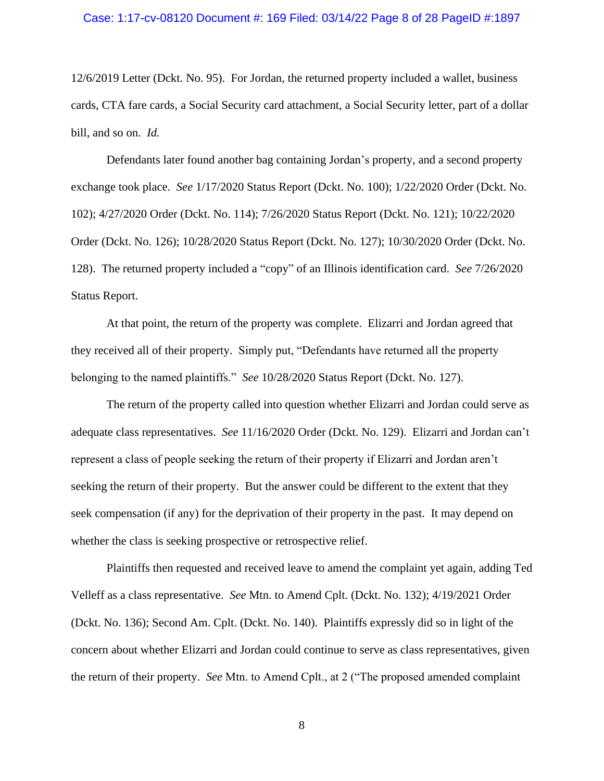12/6/2019 Letter (Dckt. No. 95). For Jordan, the returned property included a wallet, business cards, CTA fare cards, a Social Security card attachment, a Social Security letter, part of a dollar bill, and so on. *Id.* 

Defendants later found another bag containing Jordan's property, and a second property exchange took place. *See* 1/17/2020 Status Report (Dckt. No. 100); 1/22/2020 Order (Dckt. No. 102); 4/27/2020 Order (Dckt. No. 114); 7/26/2020 Status Report (Dckt. No. 121); 10/22/2020 Order (Dckt. No. 126); 10/28/2020 Status Report (Dckt. No. 127); 10/30/2020 Order (Dckt. No. 128). The returned property included a "copy" of an Illinois identification card. *See* 7/26/2020 Status Report.

At that point, the return of the property was complete. Elizarri and Jordan agreed that they received all of their property. Simply put, "Defendants have returned all the property belonging to the named plaintiffs." *See* 10/28/2020 Status Report (Dckt. No. 127).

The return of the property called into question whether Elizarri and Jordan could serve as adequate class representatives. *See* 11/16/2020 Order (Dckt. No. 129). Elizarri and Jordan can't represent a class of people seeking the return of their property if Elizarri and Jordan aren't seeking the return of their property. But the answer could be different to the extent that they seek compensation (if any) for the deprivation of their property in the past. It may depend on whether the class is seeking prospective or retrospective relief.

Plaintiffs then requested and received leave to amend the complaint yet again, adding Ted Velleff as a class representative. *See* Mtn. to Amend Cplt. (Dckt. No. 132); 4/19/2021 Order (Dckt. No. 136); Second Am. Cplt. (Dckt. No. 140). Plaintiffs expressly did so in light of the concern about whether Elizarri and Jordan could continue to serve as class representatives, given the return of their property. *See* Mtn. to Amend Cplt., at 2 ("The proposed amended complaint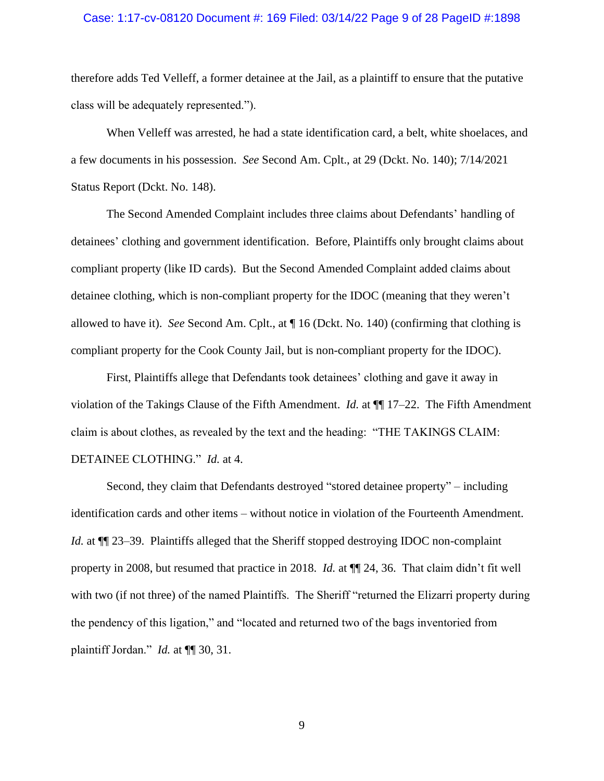#### Case: 1:17-cv-08120 Document #: 169 Filed: 03/14/22 Page 9 of 28 PageID #:1898

therefore adds Ted Velleff, a former detainee at the Jail, as a plaintiff to ensure that the putative class will be adequately represented.").

When Velleff was arrested, he had a state identification card, a belt, white shoelaces, and a few documents in his possession. *See* Second Am. Cplt., at 29 (Dckt. No. 140); 7/14/2021 Status Report (Dckt. No. 148).

The Second Amended Complaint includes three claims about Defendants' handling of detainees' clothing and government identification. Before, Plaintiffs only brought claims about compliant property (like ID cards). But the Second Amended Complaint added claims about detainee clothing, which is non-compliant property for the IDOC (meaning that they weren't allowed to have it). *See* Second Am. Cplt., at ¶ 16 (Dckt. No. 140) (confirming that clothing is compliant property for the Cook County Jail, but is non-compliant property for the IDOC).

First, Plaintiffs allege that Defendants took detainees' clothing and gave it away in violation of the Takings Clause of the Fifth Amendment. *Id.* at  $\P$  17–22. The Fifth Amendment claim is about clothes, as revealed by the text and the heading: "THE TAKINGS CLAIM: DETAINEE CLOTHING." *Id.* at 4.

Second, they claim that Defendants destroyed "stored detainee property" – including identification cards and other items – without notice in violation of the Fourteenth Amendment. *Id.* at  $\P$  23–39. Plaintiffs alleged that the Sheriff stopped destroying IDOC non-complaint property in 2008, but resumed that practice in 2018. *Id.* at ¶¶ 24, 36. That claim didn't fit well with two (if not three) of the named Plaintiffs. The Sheriff "returned the Elizarri property during the pendency of this ligation," and "located and returned two of the bags inventoried from plaintiff Jordan." *Id.* at ¶¶ 30, 31.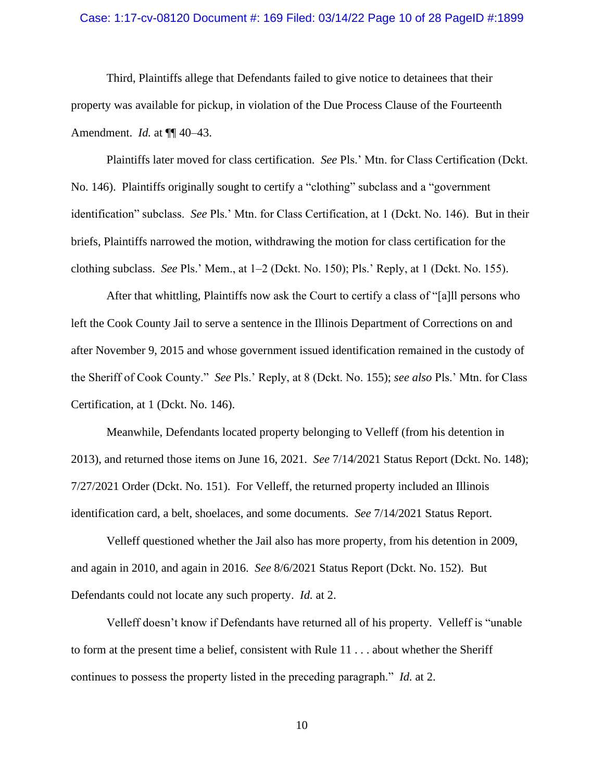# Case: 1:17-cv-08120 Document #: 169 Filed: 03/14/22 Page 10 of 28 PageID #:1899

Third, Plaintiffs allege that Defendants failed to give notice to detainees that their property was available for pickup, in violation of the Due Process Clause of the Fourteenth Amendment. *Id.* at ¶¶ 40–43.

Plaintiffs later moved for class certification. *See* Pls.' Mtn. for Class Certification (Dckt. No. 146). Plaintiffs originally sought to certify a "clothing" subclass and a "government identification" subclass. *See* Pls.' Mtn. for Class Certification, at 1 (Dckt. No. 146). But in their briefs, Plaintiffs narrowed the motion, withdrawing the motion for class certification for the clothing subclass. *See* Pls.' Mem., at 1–2 (Dckt. No. 150); Pls.' Reply, at 1 (Dckt. No. 155).

After that whittling, Plaintiffs now ask the Court to certify a class of "[a]ll persons who left the Cook County Jail to serve a sentence in the Illinois Department of Corrections on and after November 9, 2015 and whose government issued identification remained in the custody of the Sheriff of Cook County." *See* Pls.' Reply, at 8 (Dckt. No. 155); *see also* Pls.' Mtn. for Class Certification, at 1 (Dckt. No. 146).

Meanwhile, Defendants located property belonging to Velleff (from his detention in 2013), and returned those items on June 16, 2021. *See* 7/14/2021 Status Report (Dckt. No. 148); 7/27/2021 Order (Dckt. No. 151). For Velleff, the returned property included an Illinois identification card, a belt, shoelaces, and some documents. *See* 7/14/2021 Status Report.

Velleff questioned whether the Jail also has more property, from his detention in 2009, and again in 2010, and again in 2016. *See* 8/6/2021 Status Report (Dckt. No. 152). But Defendants could not locate any such property. *Id.* at 2.

Velleff doesn't know if Defendants have returned all of his property. Velleff is "unable to form at the present time a belief, consistent with Rule 11 . . . about whether the Sheriff continues to possess the property listed in the preceding paragraph." *Id.* at 2.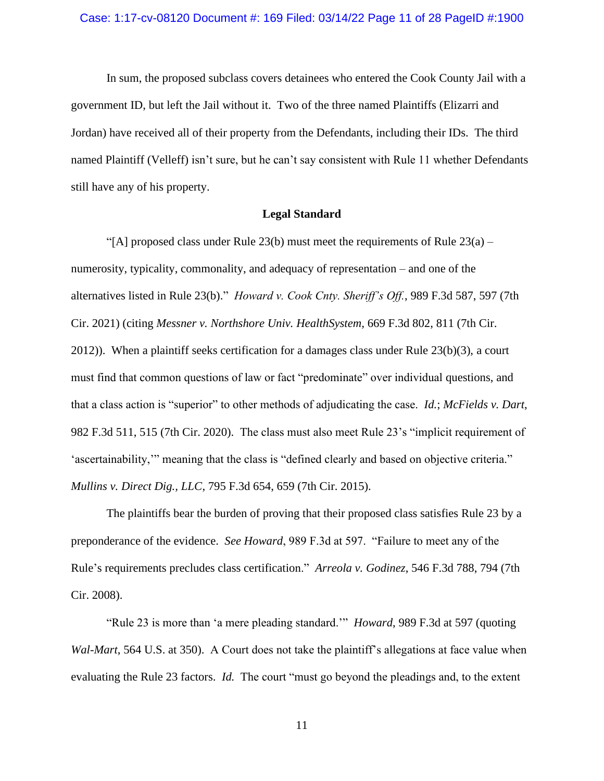In sum, the proposed subclass covers detainees who entered the Cook County Jail with a government ID, but left the Jail without it. Two of the three named Plaintiffs (Elizarri and Jordan) have received all of their property from the Defendants, including their IDs. The third named Plaintiff (Velleff) isn't sure, but he can't say consistent with Rule 11 whether Defendants still have any of his property.

### **Legal Standard**

"[A] proposed class under Rule 23(b) must meet the requirements of Rule  $23(a)$  – numerosity, typicality, commonality, and adequacy of representation – and one of the alternatives listed in Rule 23(b)." *Howard v. Cook Cnty. Sheriff's Off.*, 989 F.3d 587, 597 (7th Cir. 2021) (citing *Messner v. Northshore Univ. HealthSystem*, 669 F.3d 802, 811 (7th Cir. 2012)). When a plaintiff seeks certification for a damages class under Rule 23(b)(3), a court must find that common questions of law or fact "predominate" over individual questions, and that a class action is "superior" to other methods of adjudicating the case. *Id.*; *McFields v. Dart*, 982 F.3d 511, 515 (7th Cir. 2020). The class must also meet Rule 23's "implicit requirement of 'ascertainability,'" meaning that the class is "defined clearly and based on objective criteria." *Mullins v. Direct Dig., LLC*, 795 F.3d 654, 659 (7th Cir. 2015).

The plaintiffs bear the burden of proving that their proposed class satisfies Rule 23 by a preponderance of the evidence. *See Howard*, 989 F.3d at 597. "Failure to meet any of the Rule's requirements precludes class certification." *Arreola v. Godinez*, 546 F.3d 788, 794 (7th Cir. 2008).

"Rule 23 is more than 'a mere pleading standard.'" *Howard*, 989 F.3d at 597 (quoting *Wal-Mart*, 564 U.S. at 350). A Court does not take the plaintiff's allegations at face value when evaluating the Rule 23 factors. *Id.* The court "must go beyond the pleadings and, to the extent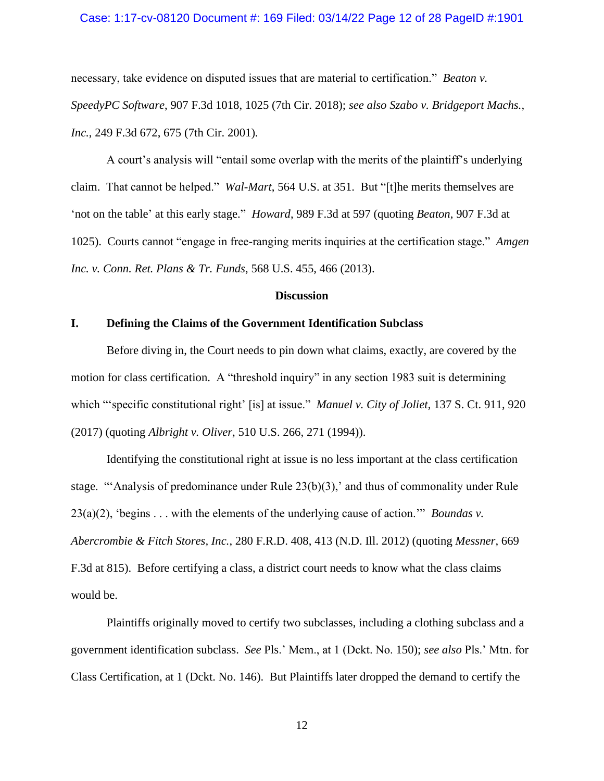#### Case: 1:17-cv-08120 Document #: 169 Filed: 03/14/22 Page 12 of 28 PageID #:1901

necessary, take evidence on disputed issues that are material to certification." *Beaton v. SpeedyPC Software*, 907 F.3d 1018, 1025 (7th Cir. 2018); *see also Szabo v. Bridgeport Machs., Inc.*, 249 F.3d 672, 675 (7th Cir. 2001).

A court's analysis will "entail some overlap with the merits of the plaintiff's underlying claim. That cannot be helped." *Wal-Mart*, 564 U.S. at 351. But "[t]he merits themselves are 'not on the table' at this early stage." *Howard*, 989 F.3d at 597 (quoting *Beaton*, 907 F.3d at 1025). Courts cannot "engage in free-ranging merits inquiries at the certification stage." *Amgen Inc. v. Conn. Ret. Plans & Tr. Funds*, 568 U.S. 455, 466 (2013).

### **Discussion**

# **I. Defining the Claims of the Government Identification Subclass**

Before diving in, the Court needs to pin down what claims, exactly, are covered by the motion for class certification. A "threshold inquiry" in any section 1983 suit is determining which "'specific constitutional right' [is] at issue." *Manuel v. City of Joliet*, 137 S. Ct. 911, 920 (2017) (quoting *Albright v. Oliver*, 510 U.S. 266, 271 (1994)).

Identifying the constitutional right at issue is no less important at the class certification stage. "'Analysis of predominance under Rule  $23(b)(3)$ ,' and thus of commonality under Rule 23(a)(2), 'begins . . . with the elements of the underlying cause of action.'" *Boundas v. Abercrombie & Fitch Stores, Inc.*, 280 F.R.D. 408, 413 (N.D. Ill. 2012) (quoting *Messner*, 669 F.3d at 815). Before certifying a class, a district court needs to know what the class claims would be.

Plaintiffs originally moved to certify two subclasses, including a clothing subclass and a government identification subclass. *See* Pls.' Mem., at 1 (Dckt. No. 150); *see also* Pls.' Mtn. for Class Certification, at 1 (Dckt. No. 146). But Plaintiffs later dropped the demand to certify the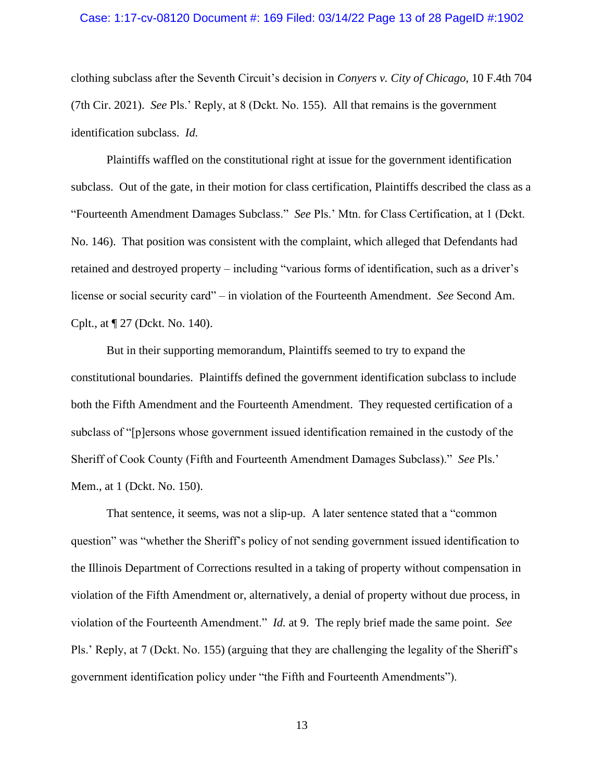#### Case: 1:17-cv-08120 Document #: 169 Filed: 03/14/22 Page 13 of 28 PageID #:1902

clothing subclass after the Seventh Circuit's decision in *Conyers v. City of Chicago*, 10 F.4th 704 (7th Cir. 2021). *See* Pls.' Reply, at 8 (Dckt. No. 155). All that remains is the government identification subclass. *Id.* 

Plaintiffs waffled on the constitutional right at issue for the government identification subclass. Out of the gate, in their motion for class certification, Plaintiffs described the class as a "Fourteenth Amendment Damages Subclass." *See* Pls.' Mtn. for Class Certification, at 1 (Dckt. No. 146). That position was consistent with the complaint, which alleged that Defendants had retained and destroyed property – including "various forms of identification, such as a driver's license or social security card" – in violation of the Fourteenth Amendment. *See* Second Am. Cplt., at ¶ 27 (Dckt. No. 140).

But in their supporting memorandum, Plaintiffs seemed to try to expand the constitutional boundaries. Plaintiffs defined the government identification subclass to include both the Fifth Amendment and the Fourteenth Amendment. They requested certification of a subclass of "[p]ersons whose government issued identification remained in the custody of the Sheriff of Cook County (Fifth and Fourteenth Amendment Damages Subclass)." *See* Pls.' Mem., at 1 (Dckt. No. 150).

That sentence, it seems, was not a slip-up. A later sentence stated that a "common question" was "whether the Sheriff's policy of not sending government issued identification to the Illinois Department of Corrections resulted in a taking of property without compensation in violation of the Fifth Amendment or, alternatively, a denial of property without due process, in violation of the Fourteenth Amendment." *Id.* at 9. The reply brief made the same point. *See*  Pls.' Reply, at 7 (Dckt. No. 155) (arguing that they are challenging the legality of the Sheriff's government identification policy under "the Fifth and Fourteenth Amendments").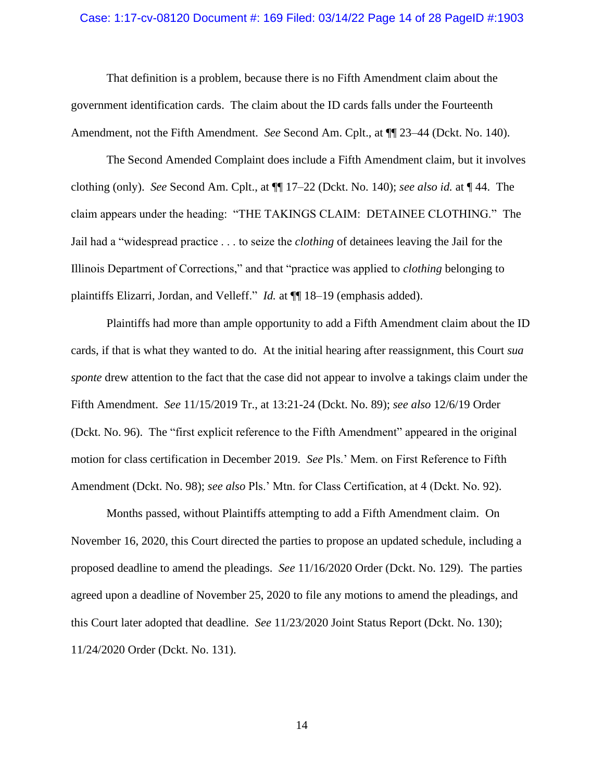#### Case: 1:17-cv-08120 Document #: 169 Filed: 03/14/22 Page 14 of 28 PageID #:1903

That definition is a problem, because there is no Fifth Amendment claim about the government identification cards. The claim about the ID cards falls under the Fourteenth Amendment, not the Fifth Amendment. *See* Second Am. Cplt., at ¶¶ 23–44 (Dckt. No. 140).

The Second Amended Complaint does include a Fifth Amendment claim, but it involves clothing (only). *See* Second Am. Cplt., at ¶¶ 17–22 (Dckt. No. 140); *see also id.* at ¶ 44. The claim appears under the heading: "THE TAKINGS CLAIM: DETAINEE CLOTHING." The Jail had a "widespread practice . . . to seize the *clothing* of detainees leaving the Jail for the Illinois Department of Corrections," and that "practice was applied to *clothing* belonging to plaintiffs Elizarri, Jordan, and Velleff." *Id.* at ¶¶ 18–19 (emphasis added).

Plaintiffs had more than ample opportunity to add a Fifth Amendment claim about the ID cards, if that is what they wanted to do. At the initial hearing after reassignment, this Court *sua sponte* drew attention to the fact that the case did not appear to involve a takings claim under the Fifth Amendment. *See* 11/15/2019 Tr., at 13:21-24 (Dckt. No. 89); *see also* 12/6/19 Order (Dckt. No. 96). The "first explicit reference to the Fifth Amendment" appeared in the original motion for class certification in December 2019. *See* Pls.' Mem. on First Reference to Fifth Amendment (Dckt. No. 98); *see also* Pls.' Mtn. for Class Certification, at 4 (Dckt. No. 92).

Months passed, without Plaintiffs attempting to add a Fifth Amendment claim. On November 16, 2020, this Court directed the parties to propose an updated schedule, including a proposed deadline to amend the pleadings. *See* 11/16/2020 Order (Dckt. No. 129). The parties agreed upon a deadline of November 25, 2020 to file any motions to amend the pleadings, and this Court later adopted that deadline. *See* 11/23/2020 Joint Status Report (Dckt. No. 130); 11/24/2020 Order (Dckt. No. 131).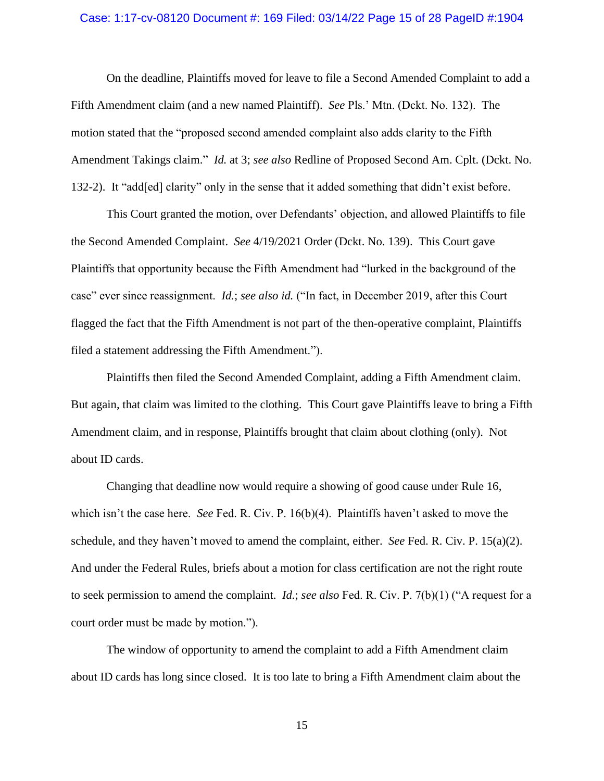#### Case: 1:17-cv-08120 Document #: 169 Filed: 03/14/22 Page 15 of 28 PageID #:1904

On the deadline, Plaintiffs moved for leave to file a Second Amended Complaint to add a Fifth Amendment claim (and a new named Plaintiff). *See* Pls.' Mtn. (Dckt. No. 132). The motion stated that the "proposed second amended complaint also adds clarity to the Fifth Amendment Takings claim." *Id.* at 3; *see also* Redline of Proposed Second Am. Cplt. (Dckt. No. 132-2). It "add[ed] clarity" only in the sense that it added something that didn't exist before.

This Court granted the motion, over Defendants' objection, and allowed Plaintiffs to file the Second Amended Complaint. *See* 4/19/2021 Order (Dckt. No. 139). This Court gave Plaintiffs that opportunity because the Fifth Amendment had "lurked in the background of the case" ever since reassignment. *Id.*; *see also id.* ("In fact, in December 2019, after this Court flagged the fact that the Fifth Amendment is not part of the then-operative complaint, Plaintiffs filed a statement addressing the Fifth Amendment.").

Plaintiffs then filed the Second Amended Complaint, adding a Fifth Amendment claim. But again, that claim was limited to the clothing. This Court gave Plaintiffs leave to bring a Fifth Amendment claim, and in response, Plaintiffs brought that claim about clothing (only). Not about ID cards.

Changing that deadline now would require a showing of good cause under Rule 16, which isn't the case here. *See* Fed. R. Civ. P. 16(b)(4). Plaintiffs haven't asked to move the schedule, and they haven't moved to amend the complaint, either. *See* Fed. R. Civ. P. 15(a)(2). And under the Federal Rules, briefs about a motion for class certification are not the right route to seek permission to amend the complaint. *Id.*; *see also* Fed. R. Civ. P. 7(b)(1) ("A request for a court order must be made by motion.").

The window of opportunity to amend the complaint to add a Fifth Amendment claim about ID cards has long since closed. It is too late to bring a Fifth Amendment claim about the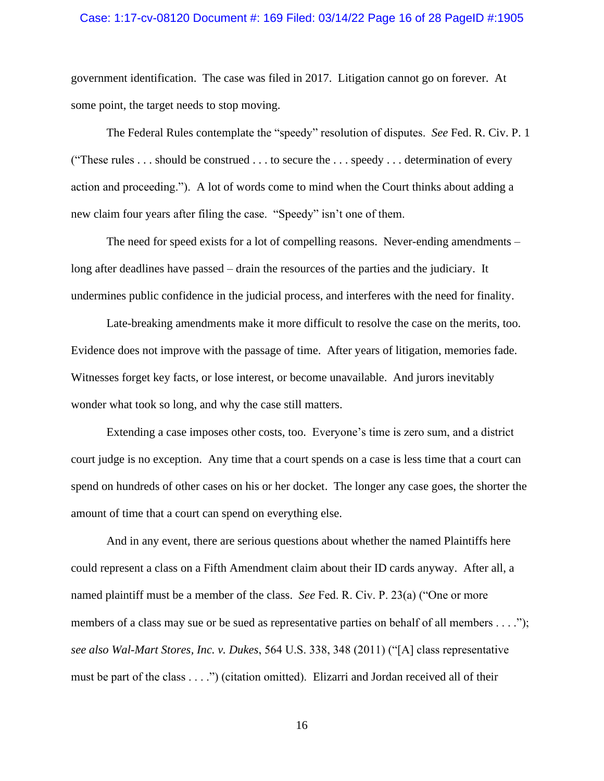#### Case: 1:17-cv-08120 Document #: 169 Filed: 03/14/22 Page 16 of 28 PageID #:1905

government identification. The case was filed in 2017. Litigation cannot go on forever. At some point, the target needs to stop moving.

The Federal Rules contemplate the "speedy" resolution of disputes. *See* Fed. R. Civ. P. 1 ("These rules . . . should be construed . . . to secure the . . . speedy . . . determination of every action and proceeding."). A lot of words come to mind when the Court thinks about adding a new claim four years after filing the case. "Speedy" isn't one of them.

The need for speed exists for a lot of compelling reasons. Never-ending amendments – long after deadlines have passed – drain the resources of the parties and the judiciary. It undermines public confidence in the judicial process, and interferes with the need for finality.

Late-breaking amendments make it more difficult to resolve the case on the merits, too. Evidence does not improve with the passage of time. After years of litigation, memories fade. Witnesses forget key facts, or lose interest, or become unavailable. And jurors inevitably wonder what took so long, and why the case still matters.

Extending a case imposes other costs, too. Everyone's time is zero sum, and a district court judge is no exception. Any time that a court spends on a case is less time that a court can spend on hundreds of other cases on his or her docket. The longer any case goes, the shorter the amount of time that a court can spend on everything else.

And in any event, there are serious questions about whether the named Plaintiffs here could represent a class on a Fifth Amendment claim about their ID cards anyway. After all, a named plaintiff must be a member of the class. *See* Fed. R. Civ. P. 23(a) ("One or more members of a class may sue or be sued as representative parties on behalf of all members . . . ."); *see also Wal-Mart Stores, Inc. v. Dukes*, 564 U.S. 338, 348 (2011) ("[A] class representative must be part of the class . . . .") (citation omitted). Elizarri and Jordan received all of their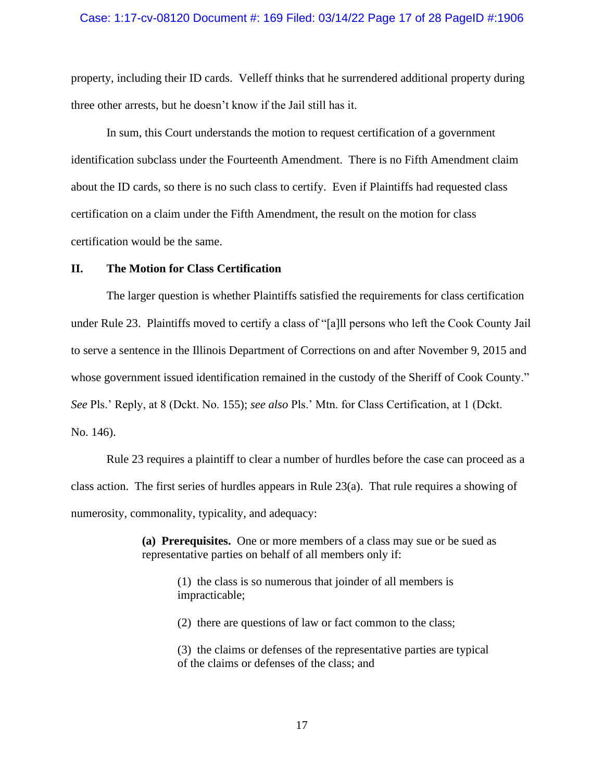#### Case: 1:17-cv-08120 Document #: 169 Filed: 03/14/22 Page 17 of 28 PageID #:1906

property, including their ID cards. Velleff thinks that he surrendered additional property during three other arrests, but he doesn't know if the Jail still has it.

In sum, this Court understands the motion to request certification of a government identification subclass under the Fourteenth Amendment. There is no Fifth Amendment claim about the ID cards, so there is no such class to certify. Even if Plaintiffs had requested class certification on a claim under the Fifth Amendment, the result on the motion for class certification would be the same.

#### **II. The Motion for Class Certification**

The larger question is whether Plaintiffs satisfied the requirements for class certification under Rule 23. Plaintiffs moved to certify a class of "[a]ll persons who left the Cook County Jail to serve a sentence in the Illinois Department of Corrections on and after November 9, 2015 and whose government issued identification remained in the custody of the Sheriff of Cook County." *See* Pls.' Reply, at 8 (Dckt. No. 155); *see also* Pls.' Mtn. for Class Certification, at 1 (Dckt. No. 146).

Rule 23 requires a plaintiff to clear a number of hurdles before the case can proceed as a class action. The first series of hurdles appears in Rule 23(a). That rule requires a showing of numerosity, commonality, typicality, and adequacy:

> **(a) Prerequisites.** One or more members of a class may sue or be sued as representative parties on behalf of all members only if:

(1) the class is so numerous that joinder of all members is impracticable;

(2) there are questions of law or fact common to the class;

(3) the claims or defenses of the representative parties are typical of the claims or defenses of the class; and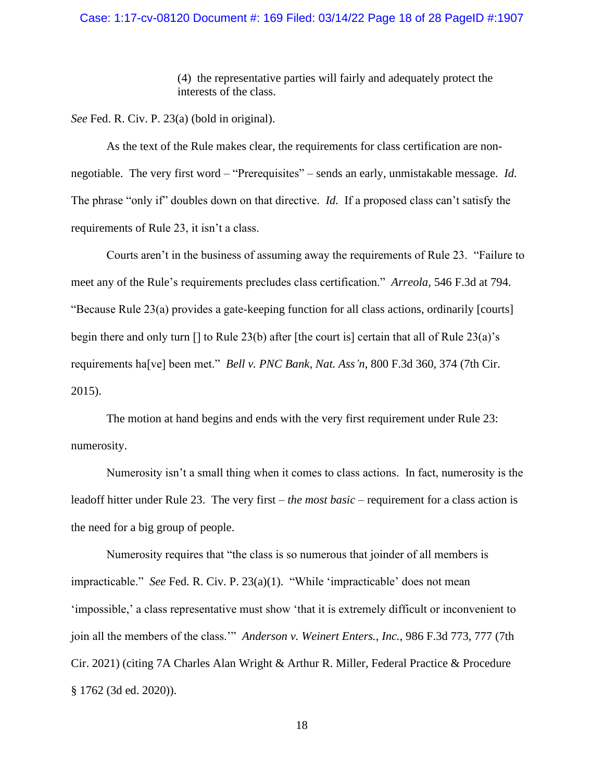#### Case: 1:17-cv-08120 Document #: 169 Filed: 03/14/22 Page 18 of 28 PageID #:1907

(4) the representative parties will fairly and adequately protect the interests of the class.

*See* Fed. R. Civ. P. 23(a) (bold in original).

As the text of the Rule makes clear, the requirements for class certification are nonnegotiable. The very first word – "Prerequisites" – sends an early, unmistakable message. *Id.*  The phrase "only if" doubles down on that directive. *Id.* If a proposed class can't satisfy the requirements of Rule 23, it isn't a class.

Courts aren't in the business of assuming away the requirements of Rule 23. "Failure to meet any of the Rule's requirements precludes class certification." *Arreola*, 546 F.3d at 794. "Because Rule 23(a) provides a gate-keeping function for all class actions, ordinarily [courts] begin there and only turn [] to Rule 23(b) after [the court is] certain that all of Rule 23(a)'s requirements ha[ve] been met." *Bell v. PNC Bank, Nat. Ass'n*, 800 F.3d 360, 374 (7th Cir. 2015).

The motion at hand begins and ends with the very first requirement under Rule 23: numerosity.

Numerosity isn't a small thing when it comes to class actions. In fact, numerosity is the leadoff hitter under Rule 23. The very first – *the most basic* – requirement for a class action is the need for a big group of people.

Numerosity requires that "the class is so numerous that joinder of all members is impracticable." *See* Fed. R. Civ. P. 23(a)(1). "While 'impracticable' does not mean 'impossible,' a class representative must show 'that it is extremely difficult or inconvenient to join all the members of the class.'" *Anderson v. Weinert Enters., Inc.*, 986 F.3d 773, 777 (7th Cir. 2021) (citing 7A Charles Alan Wright & Arthur R. Miller, Federal Practice & Procedure § 1762 (3d ed. 2020)).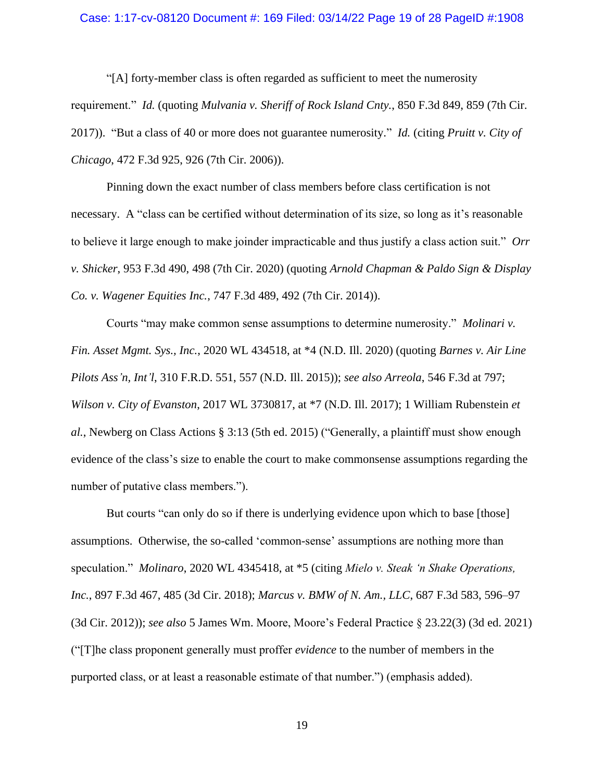#### Case: 1:17-cv-08120 Document #: 169 Filed: 03/14/22 Page 19 of 28 PageID #:1908

"[A] forty-member class is often regarded as sufficient to meet the numerosity requirement." *Id.* (quoting *Mulvania v. Sheriff of Rock Island Cnty.*, 850 F.3d 849, 859 (7th Cir. 2017)). "But a class of 40 or more does not guarantee numerosity." *Id.* (citing *Pruitt v. City of Chicago*, 472 F.3d 925, 926 (7th Cir. 2006)).

Pinning down the exact number of class members before class certification is not necessary. A "class can be certified without determination of its size, so long as it's reasonable to believe it large enough to make joinder impracticable and thus justify a class action suit." *Orr v. Shicker*, 953 F.3d 490, 498 (7th Cir. 2020) (quoting *Arnold Chapman & Paldo Sign & Display Co. v. Wagener Equities Inc.*, 747 F.3d 489, 492 (7th Cir. 2014)).

Courts "may make common sense assumptions to determine numerosity." *Molinari v. Fin. Asset Mgmt. Sys., Inc.*, 2020 WL 434518, at \*4 (N.D. Ill. 2020) (quoting *Barnes v. Air Line Pilots Ass'n, Int'l*, 310 F.R.D. 551, 557 (N.D. Ill. 2015)); *see also Arreola*, 546 F.3d at 797; *Wilson v. City of Evanston*, 2017 WL 3730817, at \*7 (N.D. Ill. 2017); 1 William Rubenstein *et al.*, Newberg on Class Actions § 3:13 (5th ed. 2015) ("Generally, a plaintiff must show enough evidence of the class's size to enable the court to make commonsense assumptions regarding the number of putative class members.").

But courts "can only do so if there is underlying evidence upon which to base [those] assumptions. Otherwise, the so-called 'common-sense' assumptions are nothing more than speculation." *Molinaro*, 2020 WL 4345418, at \*5 (citing *Mielo v. Steak 'n Shake Operations, Inc.*, 897 F.3d 467, 485 (3d Cir. 2018); *Marcus v. BMW of N. Am., LLC*, 687 F.3d 583, 596–97 (3d Cir. 2012)); *see also* 5 James Wm. Moore, Moore's Federal Practice § 23.22(3) (3d ed. 2021) ("[T]he class proponent generally must proffer *evidence* to the number of members in the purported class, or at least a reasonable estimate of that number.") (emphasis added).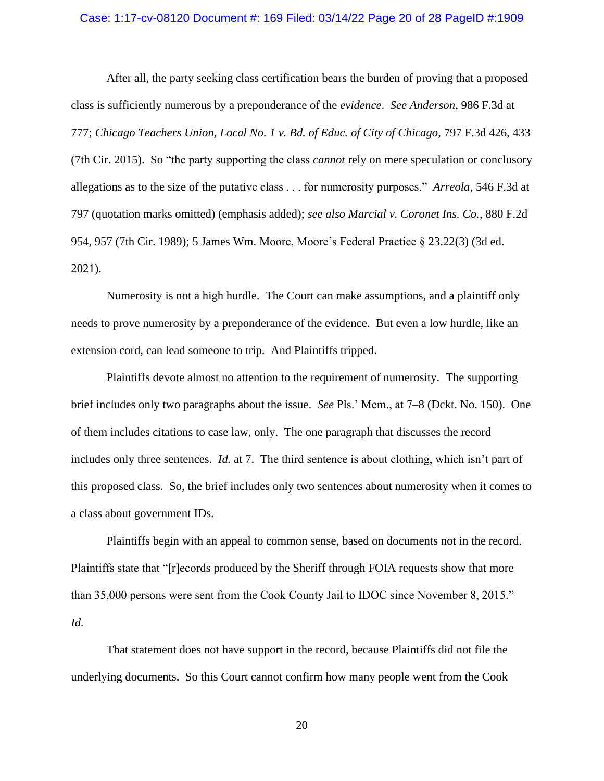#### Case: 1:17-cv-08120 Document #: 169 Filed: 03/14/22 Page 20 of 28 PageID #:1909

After all, the party seeking class certification bears the burden of proving that a proposed class is sufficiently numerous by a preponderance of the *evidence*. *See Anderson*, 986 F.3d at 777; *Chicago Teachers Union, Local No. 1 v. Bd. of Educ. of City of Chicago*, 797 F.3d 426, 433 (7th Cir. 2015). So "the party supporting the class *cannot* rely on mere speculation or conclusory allegations as to the size of the putative class . . . for numerosity purposes." *Arreola*, 546 F.3d at 797 (quotation marks omitted) (emphasis added); *see also Marcial v. Coronet Ins. Co.*, 880 F.2d 954, 957 (7th Cir. 1989); 5 James Wm. Moore, Moore's Federal Practice § 23.22(3) (3d ed. 2021).

Numerosity is not a high hurdle. The Court can make assumptions, and a plaintiff only needs to prove numerosity by a preponderance of the evidence. But even a low hurdle, like an extension cord, can lead someone to trip. And Plaintiffs tripped.

Plaintiffs devote almost no attention to the requirement of numerosity. The supporting brief includes only two paragraphs about the issue. *See* Pls.' Mem., at 7–8 (Dckt. No. 150). One of them includes citations to case law, only. The one paragraph that discusses the record includes only three sentences. *Id.* at 7. The third sentence is about clothing, which isn't part of this proposed class. So, the brief includes only two sentences about numerosity when it comes to a class about government IDs.

Plaintiffs begin with an appeal to common sense, based on documents not in the record. Plaintiffs state that "[r]ecords produced by the Sheriff through FOIA requests show that more than 35,000 persons were sent from the Cook County Jail to IDOC since November 8, 2015." *Id.*

That statement does not have support in the record, because Plaintiffs did not file the underlying documents. So this Court cannot confirm how many people went from the Cook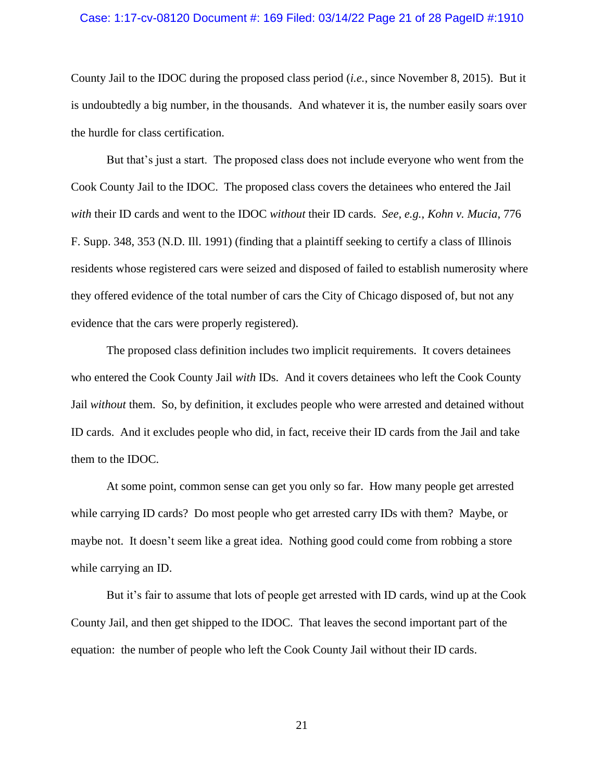# Case: 1:17-cv-08120 Document #: 169 Filed: 03/14/22 Page 21 of 28 PageID #:1910

County Jail to the IDOC during the proposed class period (*i.e.*, since November 8, 2015). But it is undoubtedly a big number, in the thousands. And whatever it is, the number easily soars over the hurdle for class certification.

But that's just a start. The proposed class does not include everyone who went from the Cook County Jail to the IDOC. The proposed class covers the detainees who entered the Jail *with* their ID cards and went to the IDOC *without* their ID cards. *See, e.g.*, *Kohn v. Mucia*, 776 F. Supp. 348, 353 (N.D. Ill. 1991) (finding that a plaintiff seeking to certify a class of Illinois residents whose registered cars were seized and disposed of failed to establish numerosity where they offered evidence of the total number of cars the City of Chicago disposed of, but not any evidence that the cars were properly registered).

The proposed class definition includes two implicit requirements. It covers detainees who entered the Cook County Jail *with* IDs. And it covers detainees who left the Cook County Jail *without* them. So, by definition, it excludes people who were arrested and detained without ID cards. And it excludes people who did, in fact, receive their ID cards from the Jail and take them to the IDOC.

At some point, common sense can get you only so far. How many people get arrested while carrying ID cards? Do most people who get arrested carry IDs with them? Maybe, or maybe not. It doesn't seem like a great idea. Nothing good could come from robbing a store while carrying an ID.

But it's fair to assume that lots of people get arrested with ID cards, wind up at the Cook County Jail, and then get shipped to the IDOC. That leaves the second important part of the equation: the number of people who left the Cook County Jail without their ID cards.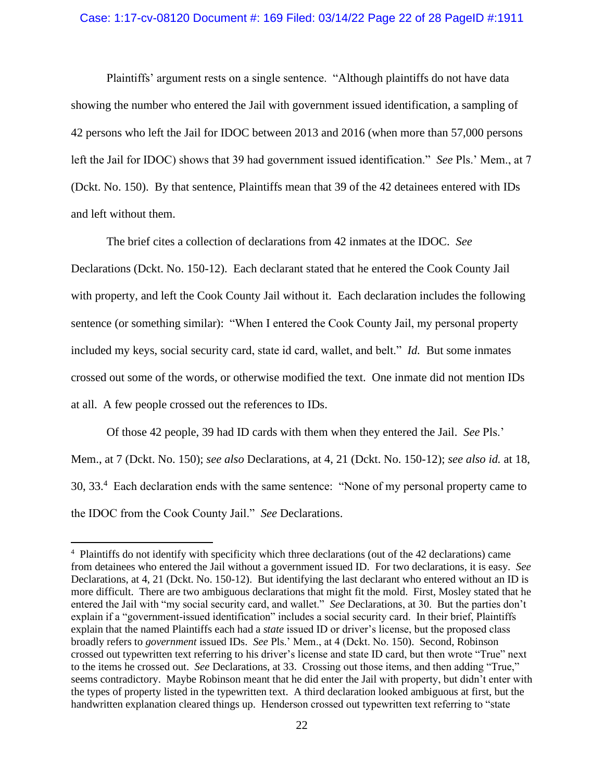#### Case: 1:17-cv-08120 Document #: 169 Filed: 03/14/22 Page 22 of 28 PageID #:1911

Plaintiffs' argument rests on a single sentence. "Although plaintiffs do not have data showing the number who entered the Jail with government issued identification, a sampling of 42 persons who left the Jail for IDOC between 2013 and 2016 (when more than 57,000 persons left the Jail for IDOC) shows that 39 had government issued identification." *See* Pls.' Mem., at 7 (Dckt. No. 150). By that sentence, Plaintiffs mean that 39 of the 42 detainees entered with IDs and left without them.

The brief cites a collection of declarations from 42 inmates at the IDOC. *See*  Declarations (Dckt. No. 150-12). Each declarant stated that he entered the Cook County Jail with property, and left the Cook County Jail without it. Each declaration includes the following sentence (or something similar): "When I entered the Cook County Jail, my personal property included my keys, social security card, state id card, wallet, and belt." *Id.* But some inmates crossed out some of the words, or otherwise modified the text. One inmate did not mention IDs at all. A few people crossed out the references to IDs.

Of those 42 people, 39 had ID cards with them when they entered the Jail. *See* Pls.' Mem., at 7 (Dckt. No. 150); *see also* Declarations, at 4, 21 (Dckt. No. 150-12); *see also id.* at 18, 30, 33.<sup>4</sup> Each declaration ends with the same sentence: "None of my personal property came to the IDOC from the Cook County Jail." *See* Declarations.

<sup>&</sup>lt;sup>4</sup> Plaintiffs do not identify with specificity which three declarations (out of the 42 declarations) came from detainees who entered the Jail without a government issued ID. For two declarations, it is easy. *See*  Declarations, at 4, 21 (Dckt. No. 150-12). But identifying the last declarant who entered without an ID is more difficult. There are two ambiguous declarations that might fit the mold. First, Mosley stated that he entered the Jail with "my social security card, and wallet." *See* Declarations, at 30. But the parties don't explain if a "government-issued identification" includes a social security card. In their brief, Plaintiffs explain that the named Plaintiffs each had a *state* issued ID or driver's license, but the proposed class broadly refers to *government* issued IDs. *See* Pls.' Mem., at 4 (Dckt. No. 150). Second, Robinson crossed out typewritten text referring to his driver's license and state ID card, but then wrote "True" next to the items he crossed out. *See* Declarations, at 33. Crossing out those items, and then adding "True," seems contradictory. Maybe Robinson meant that he did enter the Jail with property, but didn't enter with the types of property listed in the typewritten text. A third declaration looked ambiguous at first, but the handwritten explanation cleared things up. Henderson crossed out typewritten text referring to "state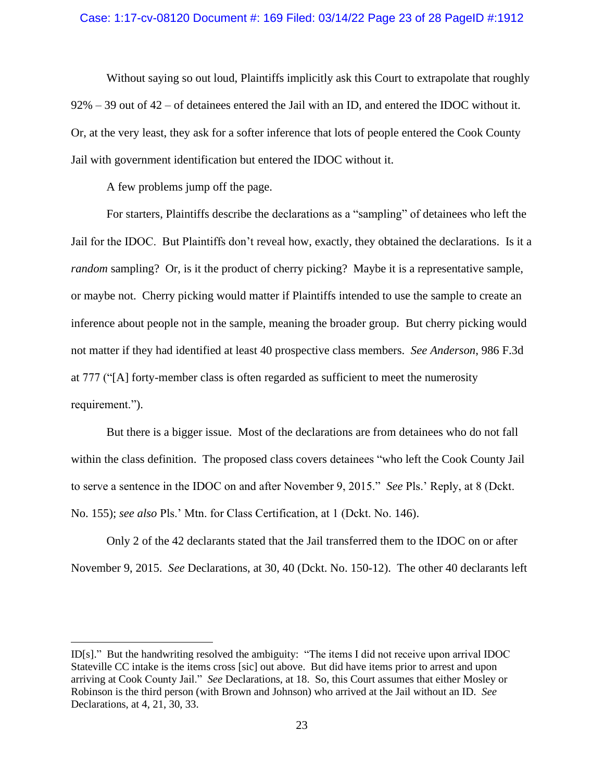# Case: 1:17-cv-08120 Document #: 169 Filed: 03/14/22 Page 23 of 28 PageID #:1912

Without saying so out loud, Plaintiffs implicitly ask this Court to extrapolate that roughly 92% – 39 out of 42 – of detainees entered the Jail with an ID, and entered the IDOC without it. Or, at the very least, they ask for a softer inference that lots of people entered the Cook County Jail with government identification but entered the IDOC without it.

A few problems jump off the page.

For starters, Plaintiffs describe the declarations as a "sampling" of detainees who left the Jail for the IDOC. But Plaintiffs don't reveal how, exactly, they obtained the declarations. Is it a *random* sampling? Or, is it the product of cherry picking? Maybe it is a representative sample, or maybe not. Cherry picking would matter if Plaintiffs intended to use the sample to create an inference about people not in the sample, meaning the broader group. But cherry picking would not matter if they had identified at least 40 prospective class members. *See Anderson*, 986 F.3d at 777 ("[A] forty-member class is often regarded as sufficient to meet the numerosity requirement.").

But there is a bigger issue. Most of the declarations are from detainees who do not fall within the class definition. The proposed class covers detainees "who left the Cook County Jail to serve a sentence in the IDOC on and after November 9, 2015." *See* Pls.' Reply, at 8 (Dckt. No. 155); *see also* Pls.' Mtn. for Class Certification, at 1 (Dckt. No. 146).

Only 2 of the 42 declarants stated that the Jail transferred them to the IDOC on or after November 9, 2015. *See* Declarations, at 30, 40 (Dckt. No. 150-12). The other 40 declarants left

ID[s]." But the handwriting resolved the ambiguity: "The items I did not receive upon arrival IDOC Stateville CC intake is the items cross [sic] out above. But did have items prior to arrest and upon arriving at Cook County Jail." *See* Declarations, at 18. So, this Court assumes that either Mosley or Robinson is the third person (with Brown and Johnson) who arrived at the Jail without an ID. *See*  Declarations, at 4, 21, 30, 33.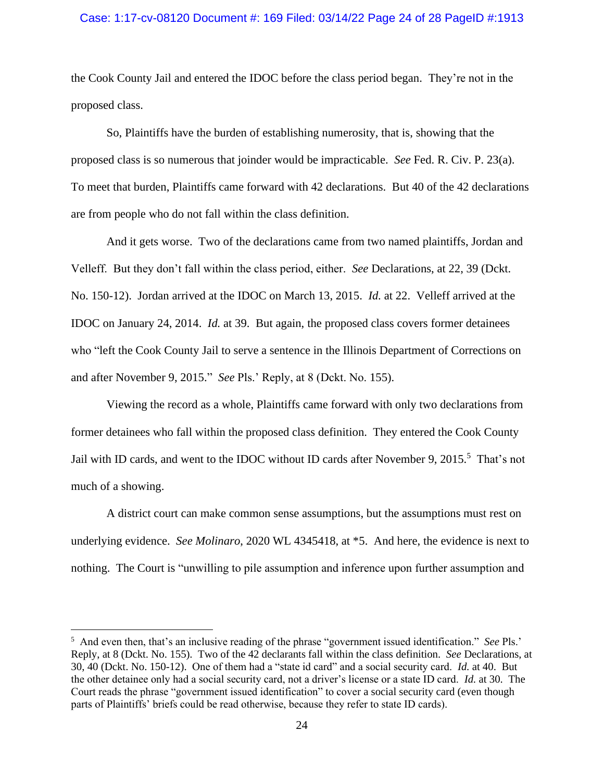#### Case: 1:17-cv-08120 Document #: 169 Filed: 03/14/22 Page 24 of 28 PageID #:1913

the Cook County Jail and entered the IDOC before the class period began. They're not in the proposed class.

So, Plaintiffs have the burden of establishing numerosity, that is, showing that the proposed class is so numerous that joinder would be impracticable. *See* Fed. R. Civ. P. 23(a). To meet that burden, Plaintiffs came forward with 42 declarations. But 40 of the 42 declarations are from people who do not fall within the class definition.

And it gets worse. Two of the declarations came from two named plaintiffs, Jordan and Velleff. But they don't fall within the class period, either. *See* Declarations, at 22, 39 (Dckt. No. 150-12). Jordan arrived at the IDOC on March 13, 2015. *Id.* at 22. Velleff arrived at the IDOC on January 24, 2014. *Id.* at 39. But again, the proposed class covers former detainees who "left the Cook County Jail to serve a sentence in the Illinois Department of Corrections on and after November 9, 2015." *See* Pls.' Reply, at 8 (Dckt. No. 155).

Viewing the record as a whole, Plaintiffs came forward with only two declarations from former detainees who fall within the proposed class definition. They entered the Cook County Jail with ID cards, and went to the IDOC without ID cards after November 9, 2015.<sup>5</sup> That's not much of a showing.

A district court can make common sense assumptions, but the assumptions must rest on underlying evidence. *See Molinaro*, 2020 WL 4345418, at \*5. And here, the evidence is next to nothing. The Court is "unwilling to pile assumption and inference upon further assumption and

<sup>5</sup> And even then, that's an inclusive reading of the phrase "government issued identification." *See* Pls.' Reply, at 8 (Dckt. No. 155). Two of the 42 declarants fall within the class definition. *See* Declarations, at 30, 40 (Dckt. No. 150-12). One of them had a "state id card" and a social security card. *Id.* at 40. But the other detainee only had a social security card, not a driver's license or a state ID card. *Id.* at 30. The Court reads the phrase "government issued identification" to cover a social security card (even though parts of Plaintiffs' briefs could be read otherwise, because they refer to state ID cards).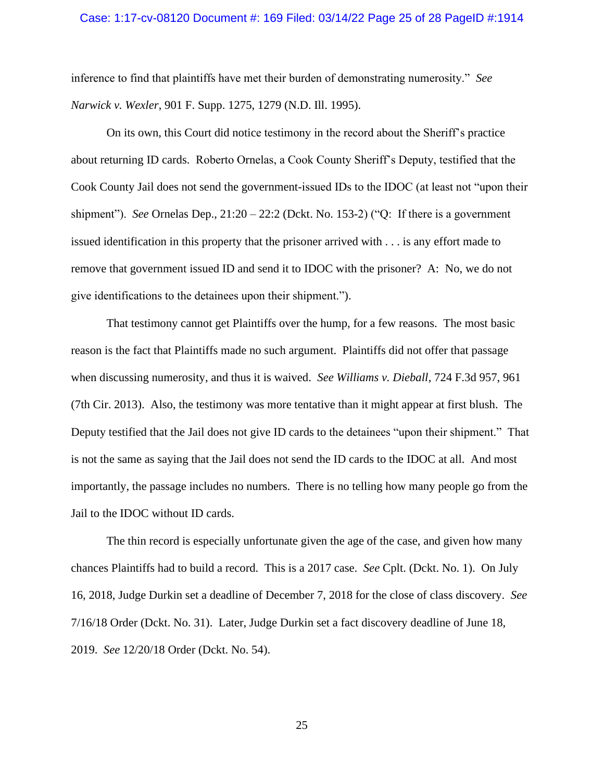inference to find that plaintiffs have met their burden of demonstrating numerosity." *See Narwick v. Wexler*, 901 F. Supp. 1275, 1279 (N.D. Ill. 1995).

On its own, this Court did notice testimony in the record about the Sheriff's practice about returning ID cards. Roberto Ornelas, a Cook County Sheriff's Deputy, testified that the Cook County Jail does not send the government-issued IDs to the IDOC (at least not "upon their shipment"). *See* Ornelas Dep., 21:20 – 22:2 (Dckt. No. 153-2) ("Q: If there is a government issued identification in this property that the prisoner arrived with . . . is any effort made to remove that government issued ID and send it to IDOC with the prisoner? A: No, we do not give identifications to the detainees upon their shipment.").

That testimony cannot get Plaintiffs over the hump, for a few reasons. The most basic reason is the fact that Plaintiffs made no such argument. Plaintiffs did not offer that passage when discussing numerosity, and thus it is waived. *See Williams v. Dieball*, 724 F.3d 957, 961 (7th Cir. 2013). Also, the testimony was more tentative than it might appear at first blush. The Deputy testified that the Jail does not give ID cards to the detainees "upon their shipment." That is not the same as saying that the Jail does not send the ID cards to the IDOC at all. And most importantly, the passage includes no numbers. There is no telling how many people go from the Jail to the IDOC without ID cards.

The thin record is especially unfortunate given the age of the case, and given how many chances Plaintiffs had to build a record. This is a 2017 case. *See* Cplt. (Dckt. No. 1). On July 16, 2018, Judge Durkin set a deadline of December 7, 2018 for the close of class discovery. *See*  7/16/18 Order (Dckt. No. 31). Later, Judge Durkin set a fact discovery deadline of June 18, 2019. *See* 12/20/18 Order (Dckt. No. 54).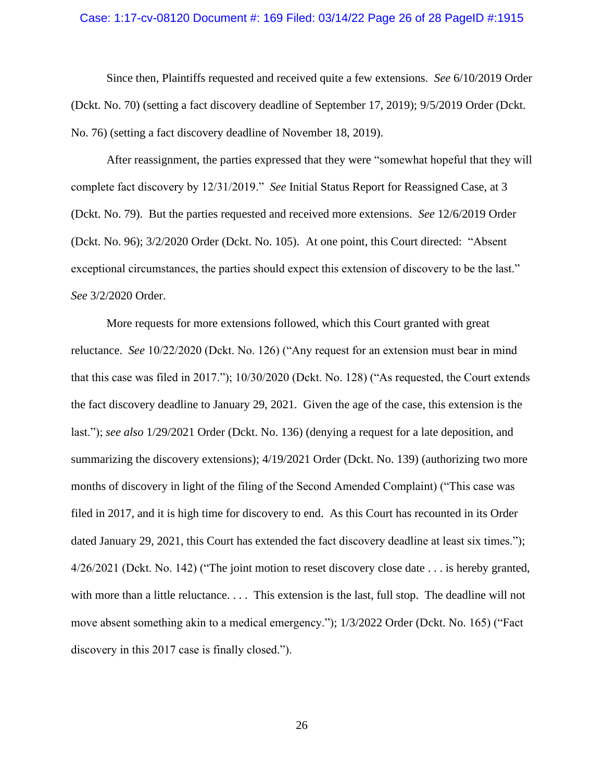# Case: 1:17-cv-08120 Document #: 169 Filed: 03/14/22 Page 26 of 28 PageID #:1915

Since then, Plaintiffs requested and received quite a few extensions. *See* 6/10/2019 Order (Dckt. No. 70) (setting a fact discovery deadline of September 17, 2019); 9/5/2019 Order (Dckt. No. 76) (setting a fact discovery deadline of November 18, 2019).

After reassignment, the parties expressed that they were "somewhat hopeful that they will complete fact discovery by 12/31/2019." *See* Initial Status Report for Reassigned Case, at 3 (Dckt. No. 79). But the parties requested and received more extensions. *See* 12/6/2019 Order (Dckt. No. 96); 3/2/2020 Order (Dckt. No. 105). At one point, this Court directed: "Absent exceptional circumstances, the parties should expect this extension of discovery to be the last." *See* 3/2/2020 Order.

More requests for more extensions followed, which this Court granted with great reluctance. *See* 10/22/2020 (Dckt. No. 126) ("Any request for an extension must bear in mind that this case was filed in 2017."); 10/30/2020 (Dckt. No. 128) ("As requested, the Court extends the fact discovery deadline to January 29, 2021. Given the age of the case, this extension is the last."); *see also* 1/29/2021 Order (Dckt. No. 136) (denying a request for a late deposition, and summarizing the discovery extensions); 4/19/2021 Order (Dckt. No. 139) (authorizing two more months of discovery in light of the filing of the Second Amended Complaint) ("This case was filed in 2017, and it is high time for discovery to end. As this Court has recounted in its Order dated January 29, 2021, this Court has extended the fact discovery deadline at least six times."); 4/26/2021 (Dckt. No. 142) ("The joint motion to reset discovery close date . . . is hereby granted, with more than a little reluctance. . . . This extension is the last, full stop. The deadline will not move absent something akin to a medical emergency."); 1/3/2022 Order (Dckt. No. 165) ("Fact discovery in this 2017 case is finally closed.").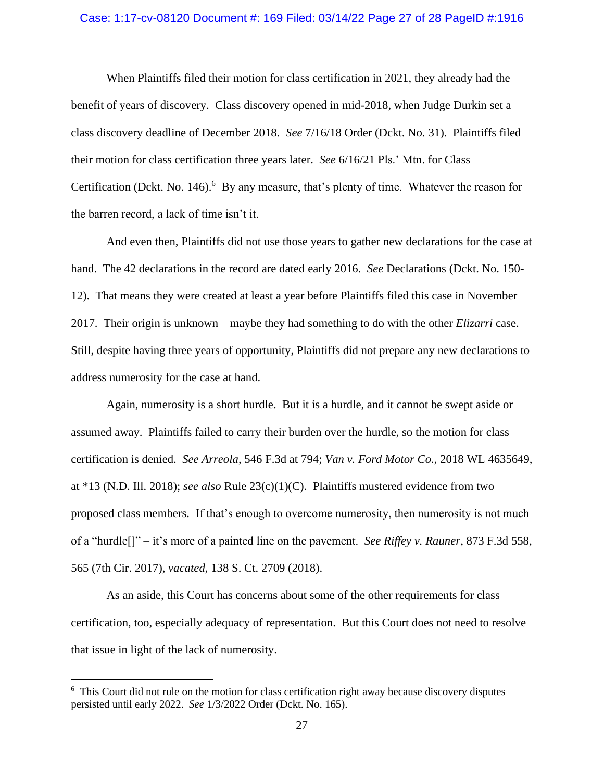#### Case: 1:17-cv-08120 Document #: 169 Filed: 03/14/22 Page 27 of 28 PageID #:1916

When Plaintiffs filed their motion for class certification in 2021, they already had the benefit of years of discovery. Class discovery opened in mid-2018, when Judge Durkin set a class discovery deadline of December 2018. *See* 7/16/18 Order (Dckt. No. 31). Plaintiffs filed their motion for class certification three years later. *See* 6/16/21 Pls.' Mtn. for Class Certification (Dckt. No. 146).<sup>6</sup> By any measure, that's plenty of time. Whatever the reason for the barren record, a lack of time isn't it.

And even then, Plaintiffs did not use those years to gather new declarations for the case at hand. The 42 declarations in the record are dated early 2016. *See* Declarations (Dckt. No. 150- 12). That means they were created at least a year before Plaintiffs filed this case in November 2017. Their origin is unknown – maybe they had something to do with the other *Elizarri* case. Still, despite having three years of opportunity, Plaintiffs did not prepare any new declarations to address numerosity for the case at hand.

Again, numerosity is a short hurdle. But it is a hurdle, and it cannot be swept aside or assumed away. Plaintiffs failed to carry their burden over the hurdle, so the motion for class certification is denied. *See Arreola*, 546 F.3d at 794; *Van v. Ford Motor Co.*, 2018 WL 4635649, at \*13 (N.D. Ill. 2018); *see also* Rule 23(c)(1)(C). Plaintiffs mustered evidence from two proposed class members. If that's enough to overcome numerosity, then numerosity is not much of a "hurdle[]" – it's more of a painted line on the pavement. *See Riffey v. Rauner*, 873 F.3d 558, 565 (7th Cir. 2017), *vacated*, 138 S. Ct. 2709 (2018).

As an aside, this Court has concerns about some of the other requirements for class certification, too, especially adequacy of representation. But this Court does not need to resolve that issue in light of the lack of numerosity.

<sup>&</sup>lt;sup>6</sup> This Court did not rule on the motion for class certification right away because discovery disputes persisted until early 2022. *See* 1/3/2022 Order (Dckt. No. 165).